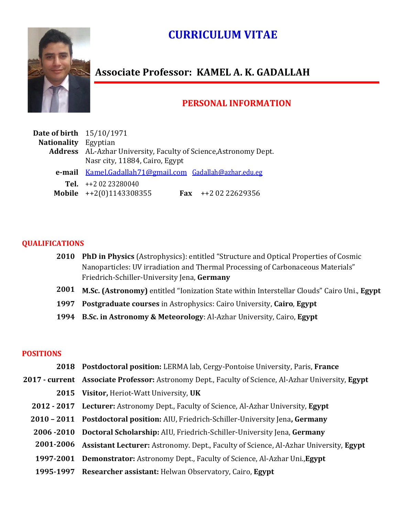# **CURRICULUM VITAE**



# **Associate Professor: KAMEL A. K. GADALLAH**

# **PERSONAL INFORMATION**

| <b>Date of birth</b> 15/10/1971 |                                                                  |
|---------------------------------|------------------------------------------------------------------|
| <b>Nationality</b> Egyptian     |                                                                  |
|                                 | Address AL-Azhar University, Faculty of Science, Astronomy Dept. |
|                                 | Nasr city, 11884, Cairo, Egypt                                   |
|                                 | e-mail Kamel.Gadallah71@gmail.com Gadallah@azhar.edu.eg          |
|                                 | Tel. $+20223280040$                                              |
|                                 | Mobile $++2(0)1143308355$<br>Fax $++20222629356$                 |

#### **QUALIFICATIONS**

- **2010 PhD in Physics** (Astrophysics): entitled "Structure and Optical Properties of Cosmic Nanoparticles: UV irradiation and Thermal Processing of Carbonaceous Materials" Friedrich-Schiller-University Jena, **Germany**
- **2001 M.Sc. (Astronomy)** entitled "Ionization State within Interstellar Clouds" Cairo Uni., **Egypt**
- **1997 Postgraduate courses** in Astrophysics: Cairo University, **Cairo**, **Egypt**
- **1994 B.Sc. in Astronomy & Meteorology**: Al-Azhar University, Cairo, **Egypt**

#### **POSITIONS**

- **2018 Postdoctoral position:** LERMA lab, Cergy-Pontoise University, Paris, **France**
- **2017 - current Associate Professor:** Astronomy Dept., Faculty of Science, Al-Azhar University, **Egypt** 
	- **2015 Visitor,** Heriot-Watt University, **UK**
	- **2012 - 2017 Lecturer:** Astronomy Dept., Faculty of Science, Al-Azhar University, **Egypt**
	- **2010 – 2011 Postdoctoral position:** AIU, Friedrich-Schiller-University Jena**, Germany**
	- **2006 -2010 Doctoral Scholarship:** AIU, Friedrich-Schiller-University Jena, **Germany**
	- **2001-2006 Assistant Lecturer:** Astronomy. Dept., Faculty of Science, Al-Azhar University, **Egypt**
	- **1997-2001 Demonstrator:** Astronomy Dept., Faculty of Science, Al-Azhar Uni.,**Egypt**
	- **1995-1997 Researcher assistant:** Helwan Observatory, Cairo, **Egypt**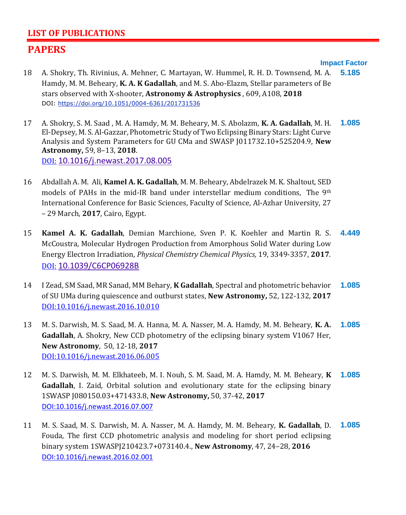# **LIST OF PUBLICATIONS**

# **PAPERS**

**Impact Factor**

- 18 A. Shokry, Th. Rivinius, A. Mehner, C. Martayan, W. Hummel, R. H. D. Townsend, M. A. Hamdy, M. M. Beheary, **K. A. K Gadallah**, and M. S. Abo-Elazm, Stellar parameters of Be stars observed with X-shooter, **Astronomy & Astrophysics** , 609, A108, **2018** DOI: <https://doi.org/10.1051/0004-6361/201731536> **[5.185](http://www.aanda.org/index.php?option=com_content&task=view&id=946&Itemid=43)**
- 17 A. Shokry, S. M. Saad , M. A. Hamdy, M. M. Beheary, M. S. Abolazm, **K. A. Gadallah**, M. H. El-Depsey, M. S. Al-Gazzar, Photometric Study of Two Eclipsing Binary Stars: Light Curve Analysis and System Parameters for GU CMa and SWASP J011732.10+525204.9, **New Astronomy,** 59, 8–13, **2018**. DOI: [10.1016/j.newast.2017.08.005](http://dx.doi.org/10.1016/j.newast.2017.08.005) **1.085**
- 16 [Abdallah A. M.](https://www.researchgate.net/researcher/2125346324_Ali_AM_Abdallah?_iepl%5BviewId%5D=0xufEKBbm3apupvZk96UtvMe&_iepl%5BprofilePublicationItemVariant%5D=default&_iepl%5Bcontexts%5D%5B0%5D=prfpi&_iepl%5BinteractionType%5D=publicationViewCoAuthorProfile) Ali, **[Kamel A. K. Gadallah](https://www.researchgate.net/profile/Kamel_Gadallah?_iepl%5BviewId%5D=0xufEKBbm3apupvZk96UtvMe&_iepl%5BprofilePublicationItemVariant%5D=default&_iepl%5Bcontexts%5D%5B0%5D=prfpi&_iepl%5BinteractionType%5D=publicationViewCoAuthorProfile)**, [M. M. Beheary,](https://www.researchgate.net/researcher/31206417_MM_Beheary?_iepl%5BviewId%5D=0xufEKBbm3apupvZk96UtvMe&_iepl%5BprofilePublicationItemVariant%5D=default&_iepl%5Bcontexts%5D%5B0%5D=prfpi&_iepl%5BinteractionType%5D=publicationViewCoAuthorProfile) [Abdelrazek M. K. Shaltout,](https://www.researchgate.net/profile/Abdelrazek_Shaltout?_iepl%5BviewId%5D=0xufEKBbm3apupvZk96UtvMe&_iepl%5BprofilePublicationItemVariant%5D=default&_iepl%5Bcontexts%5D%5B0%5D=prfpi&_iepl%5BinteractionType%5D=publicationViewCoAuthorProfile) SED models of PAHs in the mid-IR band under interstellar medium conditions, The 9th International Conference for Basic Sciences, Faculty of Science, Al-Azhar University, 27 – 29 March, **2017**, Cairo, Egypt.
- 15 **Kamel A. K. Gadallah**, Demian Marchione, Sven P. K. Koehler and Martin R. S. McCoustra, Molecular Hydrogen Production from Amorphous Solid Water during Low Energy Electron Irradiation, *Physical Chemistry Chemical Physics,* 19, 3349-3357, **2017**. DOI: [10.1039/C6CP06928B](http://dx.doi.org/10.1039/C6CP06928B) **4.449**
- 14 I Zead, SM Saad, MR Sanad, MM Behary, **K Gadallah**, [Spectral and photometric behavior](https://scholar.google.com.eg/citations?view_op=view_citation&hl=en&user=kOwAKQgAAAAJ&citation_for_view=kOwAKQgAAAAJ:hkOj_22Ku90C)  [of SU UMa during quiescence and outburst states,](https://scholar.google.com.eg/citations?view_op=view_citation&hl=en&user=kOwAKQgAAAAJ&citation_for_view=kOwAKQgAAAAJ:hkOj_22Ku90C) **New Astronomy,** 52, 122-132, **2017** DOI[:10.1016/j.newast.2016.10.010](http://dx.doi.org/10.1016/j.newast.2016.10.010) **1.085**
- 13 M. S. Darwish, M. S. Saad, M. A. Hanna, M. A. Nasser, M. A. Hamdy, M. M. Beheary, **K. A. Gadallah**, A. Shokry, New CCD photometry of the eclipsing binary system V1067 Her, **New Astronomy**, 50, 12-18, **2017** DOI[:10.1016/j.newast.2016.06.005](http://dx.doi.org/10.1016/j.newast.2016.06.005) **1.085**
- 12 M. S. Darwish, M. M. Elkhateeb, M. I. Nouh, S. M. Saad, M. A. Hamdy, M. M. Beheary, **K Gadallah**, I. Zaid, Orbital solution and evolutionary state for the eclipsing binary 1SWASP J080150.03+471433.8, **New Astronomy,** 50, 37-42, **2017** DOI[:10.1016/j.newast.2016.07.007](http://dx.doi.org/10.1016/j.newast.2016.07.007) **1.085**
- 11 M. S. Saad, M. S. Darwish, M. A. Nasser, M. A. Hamdy, M. M. Beheary, **K. Gadallah**, D. Fouda, The first CCD photometric analysis and modeling for short period eclipsing binary system 1SWASPJ210423.7+073140.4., **New Astronomy**, 47, 24–28, **2016** DOI[:10.1016/j.newast.2016.02.001](http://dx.doi.org/10.1016/j.newast.2016.02.001) **1.085**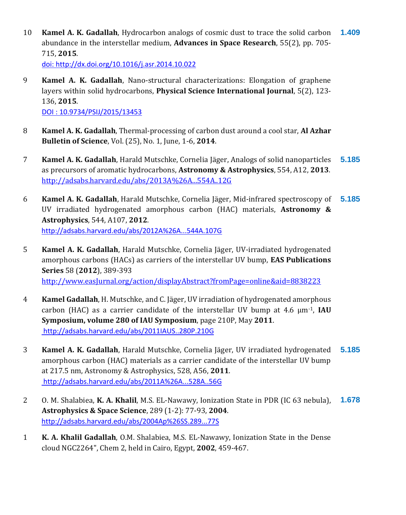10 **Kamel A. K. Gadallah**, Hydrocarbon analogs of cosmic dust to trace the solid carbon abundance in the interstellar medium, **Advances in Space Research**, 55(2), pp. 705- 715, **2015**. **1.409**

doi:<http://dx.doi.org/10.1016/j.asr.2014.10.022>

9 **Kamel A. K. Gadallah**, Nano-structural characterizations: Elongation of graphene layers within solid hydrocarbons, **Physical Science International Journal**, 5(2), 123- 136, **2015**.

DOI : 10.9734/PSIJ/2015/13453

- 8 **Kamel A. K. Gadallah**, Thermal-processing of carbon dust around a cool star, **Al Azhar Bulletin of Science**, Vol. (25), No. 1, June, 1-6, **2014**.
- 7 **Kamel A. K. Gadallah**, Harald Mutschke, Cornelia Jäger, Analogs of solid nanoparticles as precursors of aromatic hydrocarbons, **Astronomy & Astrophysics**, 554, A12, **2013**. <http://adsabs.harvard.edu/abs/2013A%26A...554A..12G> **[5.185](http://www.aanda.org/index.php?option=com_content&task=view&id=946&Itemid=43)**
- 6 **Kamel A. K. Gadallah**, Harald Mutschke, Cornelia Jäger, Mid-infrared spectroscopy of UV irradiated hydrogenated amorphous carbon (HAC) materials, **Astronomy & Astrophysics**, 544, A107, **2012**. <http://adsabs.harvard.edu/abs/2012A%26A...544A.107G> **[5.185](http://www.aanda.org/index.php?option=com_content&task=view&id=946&Itemid=43)**
- 5 **Kamel A. K. Gadallah**, Harald Mutschke, Cornelia Jäger, UV-irradiated hydrogenated amorphous carbons (HACs) as carriers of the interstellar UV bump, **EAS Publications Series** 58 (**2012**), 389-393 [http://www.easJurnal.org/action/displayAbstract?fromPage=online&aid=8838223](http://www.easjurnal.org/action/displayAbstract?fromPage=online&aid=8838223)
- 4 **Kamel Gadallah**, H. Mutschke, and C. Jäger, UV irradiation of hydrogenated amorphous carbon (HAC) as a carrier candidate of the interstellar UV bump at 4.6 µm-1, **IAU Symposium, volume 280 of IAU Symposium**, page 210P, May **2011**. <http://adsabs.harvard.edu/abs/2011IAUS..280P.210G>
- 3 **Kamel A. K. Gadallah**, Harald Mutschke, Cornelia Jäger, UV irradiated hydrogenated amorphous carbon (HAC) materials as a carrier candidate of the interstellar UV bump at 217.5 nm, Astronomy & Astrophysics, 528, A56, **2011**. <http://adsabs.harvard.edu/abs/2011A%26A...528A..56G> **[5.185](http://www.aanda.org/index.php?option=com_content&task=view&id=946&Itemid=43)**
- 2 O. M. Shalabiea, **K. A. Khalil**, M.S. EL-Nawawy, Ionization State in PDR (IC 63 nebula), **Astrophysics & Space Science**, 289 (1-2): 77-93, **2004**. <http://adsabs.harvard.edu/abs/2004Ap%26SS.289...77S> **1.678**
- 1 **K. A. Khalil Gadallah**, O.M. Shalabiea, M.S. EL-Nawawy, Ionization State in the Dense cloud NGC2264", Chem 2, held in Cairo, Egypt, **2002**, 459-467.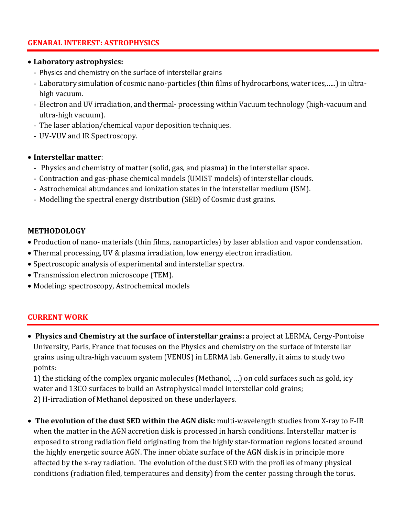## **GENARAL INTEREST: ASTROPHYSICS**

#### • **Laboratory astrophysics:**

- Physics and chemistry on the surface of interstellar grains
- Laboratory simulation of cosmic nano-particles (thin films of hydrocarbons, water ices,…..) in ultrahigh vacuum.
- Electron and UV irradiation, and thermal- processing within Vacuum technology (high-vacuum and ultra-high vacuum).
- The laser ablation/chemical vapor deposition techniques.
- UV-VUV and IR Spectroscopy.

## • **Interstellar matter**:

- Physics and chemistry of matter (solid, gas, and plasma) in the interstellar space.
- Contraction and gas-phase chemical models (UMIST models) of interstellar clouds.
- Astrochemical abundances and ionization states in the interstellar medium (ISM).
- Modelling the spectral energy distribution (SED) of Cosmic dust grains.

## **METHODOLOGY**

- Production of nano- materials (thin films, nanoparticles) by laser ablation and vapor condensation.
- Thermal processing, UV & plasma irradiation, low energy electron irradiation.
- Spectroscopic analysis of experimental and interstellar spectra.
- Transmission electron microscope (TEM).
- Modeling: spectroscopy, Astrochemical models

## **CURRENT WORK**

• **Physics and Chemistry at the surface of interstellar grains:** a project at LERMA, Cergy-Pontoise University, Paris, France that focuses on the Physics and chemistry on the surface of interstellar grains using ultra-high vacuum system (VENUS) in LERMA lab. Generally, it aims to study two points:

1) the sticking of the complex organic molecules (Methanol, …) on cold surfaces such as gold, icy water and 13CO surfaces to build an Astrophysical model interstellar cold grains; 2) H-irradiation of Methanol deposited on these underlayers.

• **The evolution of the dust SED within the AGN disk:** multi-wavelength studies from X-ray to F-IR when the matter in the AGN accretion disk is processed in harsh conditions. Interstellar matter is exposed to strong radiation field originating from the highly star-formation regions located around the highly energetic source AGN. The inner oblate surface of the AGN disk is in principle more affected by the x-ray radiation. The evolution of the dust SED with the profiles of many physical conditions (radiation filed, temperatures and density) from the center passing through the torus.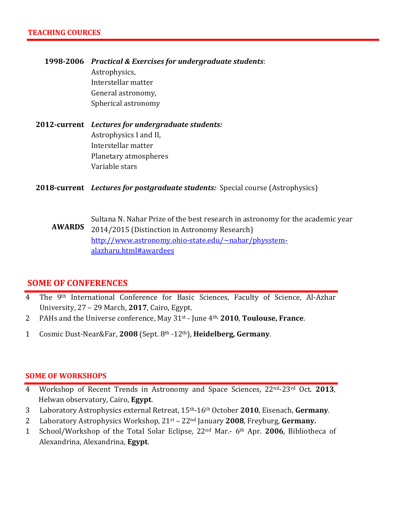**1998-2006** *Practical & Exercises for undergraduate students*: Astrophysics, Interstellar matter General astronomy, Spherical astronomy

# **2012-current** *Lectures for undergraduate students:* Astrophysics I and II, Interstellar matter Planetary atmospheres Variable stars

**2018-current** *Lectures for postgraduate students:* Special course (Astrophysics)

**AWARDS** Sultana N. Nahar Prize of the best research in astronomy for the academic year 2014/2015 (Distinction in Astronomy Research) [http://www.astronomy.ohio-state.edu/~nahar/physstem](http://www.astronomy.ohio-state.edu/~nahar/physstem-alazharu.html#awardees)[alazharu.html#awardees](http://www.astronomy.ohio-state.edu/~nahar/physstem-alazharu.html#awardees)

# **SOME OF CONFERENCES**

- 4 The 9<sup>th</sup> International Conference for Basic Sciences, Faculty of Science, Al-Azhar University, 27 – 29 March, **2017**, Cairo, Egypt.
- 2 PAHs and the Universe conference, May 31st June 4th, **2010**, **Toulouse, France**.
- 1 Cosmic Dust-Near&Far, **2008** (Sept. 8th -12th), **Heidelberg, Germany**.

#### **SOME OF WORKSHOPS**

- 4 Workshop of Recent Trends in Astronomy and Space Sciences, 22nd-23rd Oct. **2013**, Helwan observatory, Cairo, **Egypt**.
- 3 Laboratory Astrophysics external Retreat, 15th-16th October **2010**, Eisenach, **Germany**.
- 2 Laboratory Astrophysics Workshop, 21st 22nd January **2008**, Freyburg, **Germany.**
- 1 School/Workshop of the Total Solar Eclipse, 22nd Mar.- 6th Apr. **2006**, Bibliotheca of Alexandrina, Alexandrina, **Egypt**.